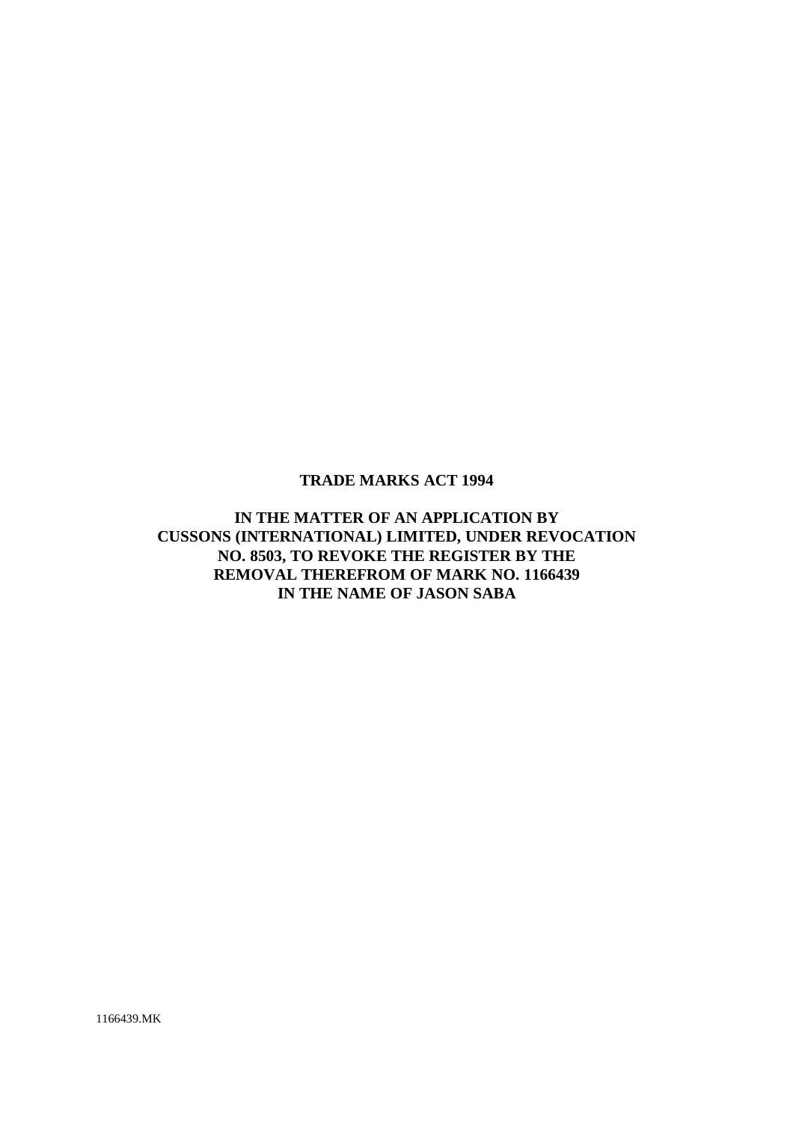# **TRADE MARKS ACT 1994**

**IN THE MATTER OF AN APPLICATION BY CUSSONS (INTERNATIONAL) LIMITED, UNDER REVOCATION NO. 8503, TO REVOKE THE REGISTER BY THE REMOVAL THEREFROM OF MARK NO. 1166439 IN THE NAME OF JASON SABA**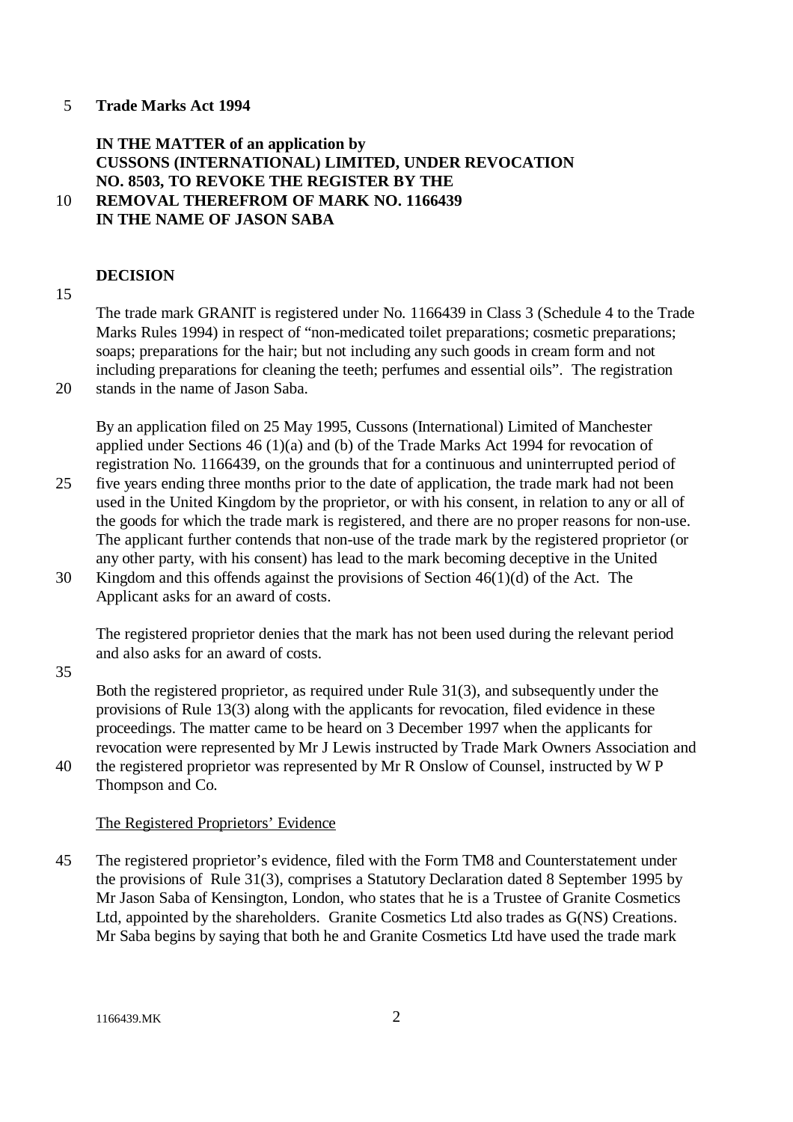### 5 **Trade Marks Act 1994**

# **IN THE MATTER of an application by CUSSONS (INTERNATIONAL) LIMITED, UNDER REVOCATION NO. 8503, TO REVOKE THE REGISTER BY THE** 10 **REMOVAL THEREFROM OF MARK NO. 1166439 IN THE NAME OF JASON SABA**

#### **DECISION**

15

The trade mark GRANIT is registered under No. 1166439 in Class 3 (Schedule 4 to the Trade Marks Rules 1994) in respect of "non-medicated toilet preparations; cosmetic preparations; soaps; preparations for the hair; but not including any such goods in cream form and not including preparations for cleaning the teeth; perfumes and essential oils". The registration 20 stands in the name of Jason Saba.

By an application filed on 25 May 1995, Cussons (International) Limited of Manchester applied under Sections 46 (1)(a) and (b) of the Trade Marks Act 1994 for revocation of registration No. 1166439, on the grounds that for a continuous and uninterrupted period of

- 25 five years ending three months prior to the date of application, the trade mark had not been used in the United Kingdom by the proprietor, or with his consent, in relation to any or all of the goods for which the trade mark is registered, and there are no proper reasons for non-use. The applicant further contends that non-use of the trade mark by the registered proprietor (or any other party, with his consent) has lead to the mark becoming deceptive in the United
- 30 Kingdom and this offends against the provisions of Section 46(1)(d) of the Act. The Applicant asks for an award of costs.

The registered proprietor denies that the mark has not been used during the relevant period and also asks for an award of costs.

35

Both the registered proprietor, as required under Rule 31(3), and subsequently under the provisions of Rule 13(3) along with the applicants for revocation, filed evidence in these proceedings. The matter came to be heard on 3 December 1997 when the applicants for revocation were represented by Mr J Lewis instructed by Trade Mark Owners Association and

40 the registered proprietor was represented by Mr R Onslow of Counsel, instructed by W P Thompson and Co.

## The Registered Proprietors' Evidence

45 The registered proprietor's evidence, filed with the Form TM8 and Counterstatement under the provisions of Rule 31(3), comprises a Statutory Declaration dated 8 September 1995 by Mr Jason Saba of Kensington, London, who states that he is a Trustee of Granite Cosmetics Ltd, appointed by the shareholders. Granite Cosmetics Ltd also trades as G(NS) Creations. Mr Saba begins by saying that both he and Granite Cosmetics Ltd have used the trade mark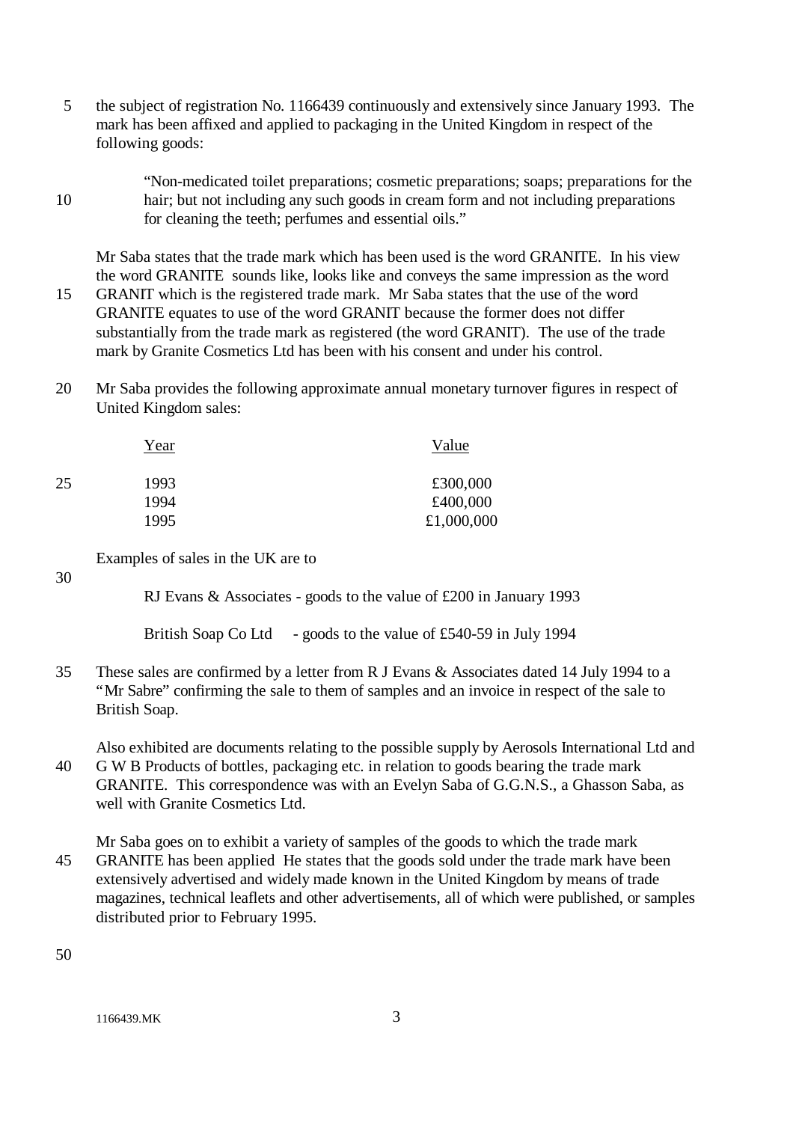- 5 the subject of registration No. 1166439 continuously and extensively since January 1993. The mark has been affixed and applied to packaging in the United Kingdom in respect of the following goods:
- "Non-medicated toilet preparations; cosmetic preparations; soaps; preparations for the 10 hair; but not including any such goods in cream form and not including preparations for cleaning the teeth; perfumes and essential oils."

Mr Saba states that the trade mark which has been used is the word GRANITE. In his view the word GRANITE sounds like, looks like and conveys the same impression as the word

- 15 GRANIT which is the registered trade mark. Mr Saba states that the use of the word GRANITE equates to use of the word GRANIT because the former does not differ substantially from the trade mark as registered (the word GRANIT). The use of the trade mark by Granite Cosmetics Ltd has been with his consent and under his control.
- 20 Mr Saba provides the following approximate annual monetary turnover figures in respect of United Kingdom sales:

|    | Year | Value      |
|----|------|------------|
| 25 | 1993 | £300,000   |
|    | 1994 | £400,000   |
|    | 1995 | £1,000,000 |

Examples of sales in the UK are to

RJ Evans & Associates - goods to the value of £200 in January 1993

British Soap Co Ltd - goods to the value of £540-59 in July 1994

35 These sales are confirmed by a letter from R J Evans & Associates dated 14 July 1994 to a "Mr Sabre" confirming the sale to them of samples and an invoice in respect of the sale to British Soap.

Also exhibited are documents relating to the possible supply by Aerosols International Ltd and 40 G W B Products of bottles, packaging etc. in relation to goods bearing the trade mark GRANITE. This correspondence was with an Evelyn Saba of G.G.N.S., a Ghasson Saba, as well with Granite Cosmetics Ltd.

Mr Saba goes on to exhibit a variety of samples of the goods to which the trade mark 45 GRANITE has been applied He states that the goods sold under the trade mark have been extensively advertised and widely made known in the United Kingdom by means of trade magazines, technical leaflets and other advertisements, all of which were published, or samples distributed prior to February 1995.

50

30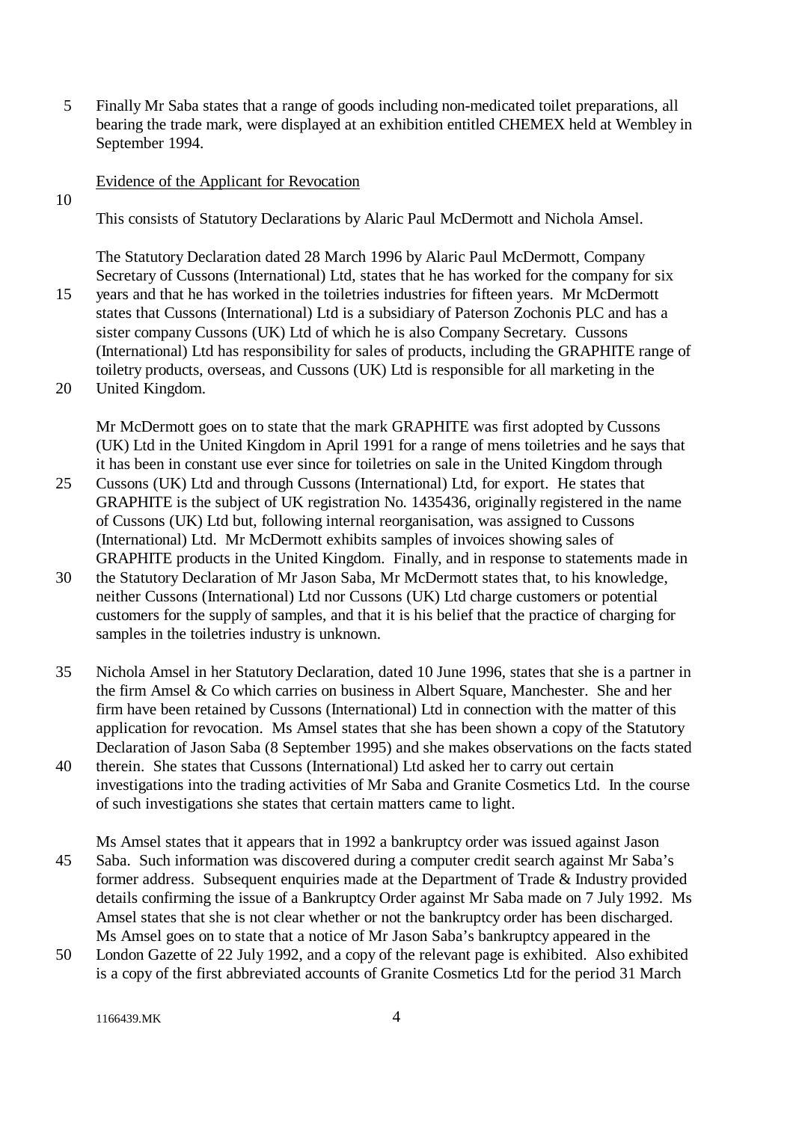5 Finally Mr Saba states that a range of goods including non-medicated toilet preparations, all bearing the trade mark, were displayed at an exhibition entitled CHEMEX held at Wembley in September 1994.

### Evidence of the Applicant for Revocation

10

This consists of Statutory Declarations by Alaric Paul McDermott and Nichola Amsel.

The Statutory Declaration dated 28 March 1996 by Alaric Paul McDermott, Company Secretary of Cussons (International) Ltd, states that he has worked for the company for six 15 years and that he has worked in the toiletries industries for fifteen years. Mr McDermott states that Cussons (International) Ltd is a subsidiary of Paterson Zochonis PLC and has a

- sister company Cussons (UK) Ltd of which he is also Company Secretary. Cussons (International) Ltd has responsibility for sales of products, including the GRAPHITE range of toiletry products, overseas, and Cussons (UK) Ltd is responsible for all marketing in the 20 United Kingdom.
	- Mr McDermott goes on to state that the mark GRAPHITE was first adopted by Cussons (UK) Ltd in the United Kingdom in April 1991 for a range of mens toiletries and he says that it has been in constant use ever since for toiletries on sale in the United Kingdom through
- 25 Cussons (UK) Ltd and through Cussons (International) Ltd, for export. He states that GRAPHITE is the subject of UK registration No. 1435436, originally registered in the name of Cussons (UK) Ltd but, following internal reorganisation, was assigned to Cussons (International) Ltd. Mr McDermott exhibits samples of invoices showing sales of GRAPHITE products in the United Kingdom. Finally, and in response to statements made in
- 30 the Statutory Declaration of Mr Jason Saba, Mr McDermott states that, to his knowledge, neither Cussons (International) Ltd nor Cussons (UK) Ltd charge customers or potential customers for the supply of samples, and that it is his belief that the practice of charging for samples in the toiletries industry is unknown.
- 35 Nichola Amsel in her Statutory Declaration, dated 10 June 1996, states that she is a partner in the firm Amsel & Co which carries on business in Albert Square, Manchester. She and her firm have been retained by Cussons (International) Ltd in connection with the matter of this application for revocation. Ms Amsel states that she has been shown a copy of the Statutory Declaration of Jason Saba (8 September 1995) and she makes observations on the facts stated
- 40 therein. She states that Cussons (International) Ltd asked her to carry out certain investigations into the trading activities of Mr Saba and Granite Cosmetics Ltd. In the course of such investigations she states that certain matters came to light.

Ms Amsel states that it appears that in 1992 a bankruptcy order was issued against Jason 45 Saba. Such information was discovered during a computer credit search against Mr Saba's former address. Subsequent enquiries made at the Department of Trade & Industry provided details confirming the issue of a Bankruptcy Order against Mr Saba made on 7 July 1992. Ms Amsel states that she is not clear whether or not the bankruptcy order has been discharged. Ms Amsel goes on to state that a notice of Mr Jason Saba's bankruptcy appeared in the

50 London Gazette of 22 July 1992, and a copy of the relevant page is exhibited. Also exhibited is a copy of the first abbreviated accounts of Granite Cosmetics Ltd for the period 31 March

1166439.MK 4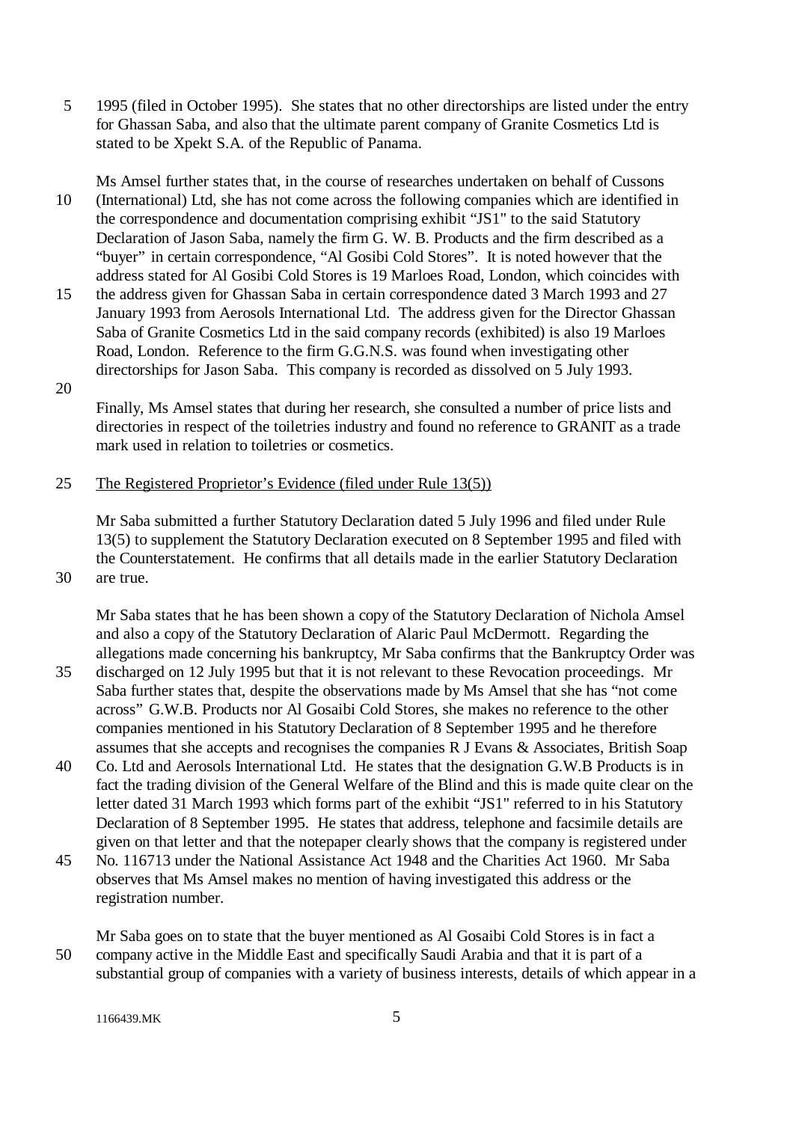5 1995 (filed in October 1995). She states that no other directorships are listed under the entry for Ghassan Saba, and also that the ultimate parent company of Granite Cosmetics Ltd is stated to be Xpekt S.A. of the Republic of Panama.

Ms Amsel further states that, in the course of researches undertaken on behalf of Cussons 10 (International) Ltd, she has not come across the following companies which are identified in the correspondence and documentation comprising exhibit "JS1" to the said Statutory Declaration of Jason Saba, namely the firm G. W. B. Products and the firm described as a "buyer" in certain correspondence, "Al Gosibi Cold Stores". It is noted however that the address stated for Al Gosibi Cold Stores is 19 Marloes Road, London, which coincides with

- 15 the address given for Ghassan Saba in certain correspondence dated 3 March 1993 and 27 January 1993 from Aerosols International Ltd. The address given for the Director Ghassan Saba of Granite Cosmetics Ltd in the said company records (exhibited) is also 19 Marloes Road, London. Reference to the firm G.G.N.S. was found when investigating other directorships for Jason Saba. This company is recorded as dissolved on 5 July 1993.
- 20

Finally, Ms Amsel states that during her research, she consulted a number of price lists and directories in respect of the toiletries industry and found no reference to GRANIT as a trade mark used in relation to toiletries or cosmetics.

## 25 The Registered Proprietor's Evidence (filed under Rule 13(5))

Mr Saba submitted a further Statutory Declaration dated 5 July 1996 and filed under Rule 13(5) to supplement the Statutory Declaration executed on 8 September 1995 and filed with the Counterstatement. He confirms that all details made in the earlier Statutory Declaration 30 are true.

Mr Saba states that he has been shown a copy of the Statutory Declaration of Nichola Amsel and also a copy of the Statutory Declaration of Alaric Paul McDermott. Regarding the allegations made concerning his bankruptcy, Mr Saba confirms that the Bankruptcy Order was

- 35 discharged on 12 July 1995 but that it is not relevant to these Revocation proceedings. Mr Saba further states that, despite the observations made by Ms Amsel that she has "not come across" G.W.B. Products nor Al Gosaibi Cold Stores, she makes no reference to the other companies mentioned in his Statutory Declaration of 8 September 1995 and he therefore assumes that she accepts and recognises the companies R J Evans & Associates, British Soap
- 40 Co. Ltd and Aerosols International Ltd. He states that the designation G.W.B Products is in fact the trading division of the General Welfare of the Blind and this is made quite clear on the letter dated 31 March 1993 which forms part of the exhibit "JS1" referred to in his Statutory Declaration of 8 September 1995. He states that address, telephone and facsimile details are given on that letter and that the notepaper clearly shows that the company is registered under
- 45 No. 116713 under the National Assistance Act 1948 and the Charities Act 1960. Mr Saba observes that Ms Amsel makes no mention of having investigated this address or the registration number.
- Mr Saba goes on to state that the buyer mentioned as Al Gosaibi Cold Stores is in fact a 50 company active in the Middle East and specifically Saudi Arabia and that it is part of a substantial group of companies with a variety of business interests, details of which appear in a

1166439.MK 5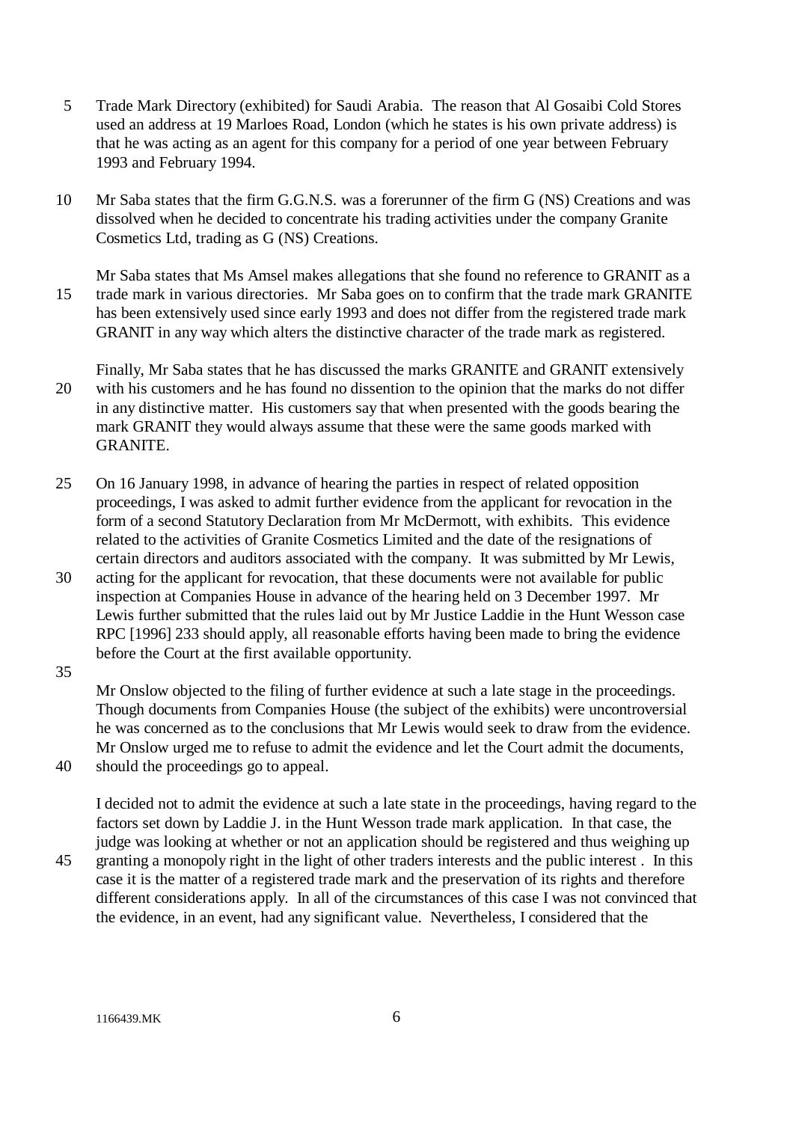- 5 Trade Mark Directory (exhibited) for Saudi Arabia. The reason that Al Gosaibi Cold Stores used an address at 19 Marloes Road, London (which he states is his own private address) is that he was acting as an agent for this company for a period of one year between February 1993 and February 1994.
- 10 Mr Saba states that the firm G.G.N.S. was a forerunner of the firm G (NS) Creations and was dissolved when he decided to concentrate his trading activities under the company Granite Cosmetics Ltd, trading as G (NS) Creations.
- Mr Saba states that Ms Amsel makes allegations that she found no reference to GRANIT as a 15 trade mark in various directories. Mr Saba goes on to confirm that the trade mark GRANITE has been extensively used since early 1993 and does not differ from the registered trade mark GRANIT in any way which alters the distinctive character of the trade mark as registered.
- Finally, Mr Saba states that he has discussed the marks GRANITE and GRANIT extensively 20 with his customers and he has found no dissention to the opinion that the marks do not differ in any distinctive matter. His customers say that when presented with the goods bearing the mark GRANIT they would always assume that these were the same goods marked with GRANITE.
- 25 On 16 January 1998, in advance of hearing the parties in respect of related opposition proceedings, I was asked to admit further evidence from the applicant for revocation in the form of a second Statutory Declaration from Mr McDermott, with exhibits. This evidence related to the activities of Granite Cosmetics Limited and the date of the resignations of certain directors and auditors associated with the company. It was submitted by Mr Lewis,
- 30 acting for the applicant for revocation, that these documents were not available for public inspection at Companies House in advance of the hearing held on 3 December 1997. Mr Lewis further submitted that the rules laid out by Mr Justice Laddie in the Hunt Wesson case RPC [1996] 233 should apply, all reasonable efforts having been made to bring the evidence before the Court at the first available opportunity.

35

Mr Onslow objected to the filing of further evidence at such a late stage in the proceedings. Though documents from Companies House (the subject of the exhibits) were uncontroversial he was concerned as to the conclusions that Mr Lewis would seek to draw from the evidence. Mr Onslow urged me to refuse to admit the evidence and let the Court admit the documents,

40 should the proceedings go to appeal.

I decided not to admit the evidence at such a late state in the proceedings, having regard to the factors set down by Laddie J. in the Hunt Wesson trade mark application. In that case, the judge was looking at whether or not an application should be registered and thus weighing up

45 granting a monopoly right in the light of other traders interests and the public interest . In this case it is the matter of a registered trade mark and the preservation of its rights and therefore different considerations apply. In all of the circumstances of this case I was not convinced that the evidence, in an event, had any significant value. Nevertheless, I considered that the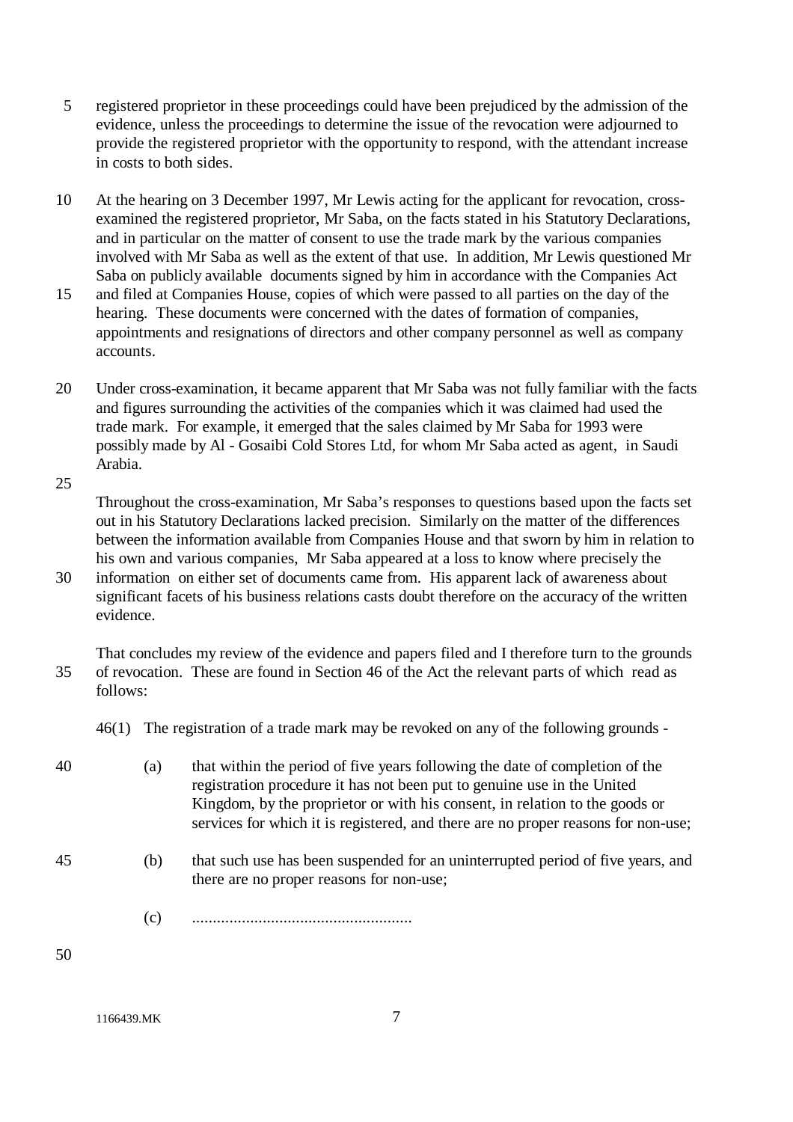- 5 registered proprietor in these proceedings could have been prejudiced by the admission of the evidence, unless the proceedings to determine the issue of the revocation were adjourned to provide the registered proprietor with the opportunity to respond, with the attendant increase in costs to both sides.
- 10 At the hearing on 3 December 1997, Mr Lewis acting for the applicant for revocation, crossexamined the registered proprietor, Mr Saba, on the facts stated in his Statutory Declarations, and in particular on the matter of consent to use the trade mark by the various companies involved with Mr Saba as well as the extent of that use. In addition, Mr Lewis questioned Mr Saba on publicly available documents signed by him in accordance with the Companies Act
- 15 and filed at Companies House, copies of which were passed to all parties on the day of the hearing. These documents were concerned with the dates of formation of companies, appointments and resignations of directors and other company personnel as well as company accounts.
- 20 Under cross-examination, it became apparent that Mr Saba was not fully familiar with the facts and figures surrounding the activities of the companies which it was claimed had used the trade mark. For example, it emerged that the sales claimed by Mr Saba for 1993 were possibly made by Al - Gosaibi Cold Stores Ltd, for whom Mr Saba acted as agent, in Saudi Arabia.

25

Throughout the cross-examination, Mr Saba's responses to questions based upon the facts set out in his Statutory Declarations lacked precision. Similarly on the matter of the differences between the information available from Companies House and that sworn by him in relation to his own and various companies, Mr Saba appeared at a loss to know where precisely the

30 information on either set of documents came from. His apparent lack of awareness about significant facets of his business relations casts doubt therefore on the accuracy of the written evidence.

That concludes my review of the evidence and papers filed and I therefore turn to the grounds 35 of revocation. These are found in Section 46 of the Act the relevant parts of which read as follows:

46(1) The registration of a trade mark may be revoked on any of the following grounds -

- 40 (a) that within the period of five years following the date of completion of the registration procedure it has not been put to genuine use in the United Kingdom, by the proprietor or with his consent, in relation to the goods or services for which it is registered, and there are no proper reasons for non-use;
- 45 (b) that such use has been suspended for an uninterrupted period of five years, and there are no proper reasons for non-use;
	- (c) .....................................................

50

1166439.MK 7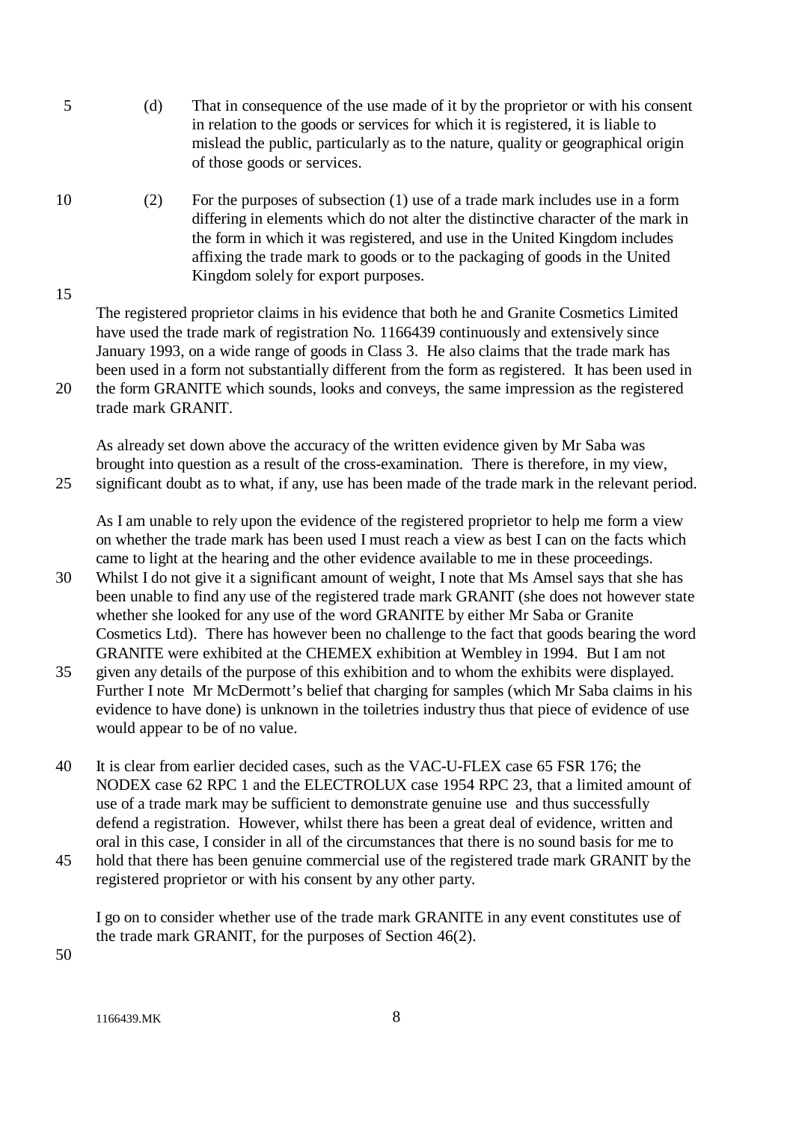- 5 (d) That in consequence of the use made of it by the proprietor or with his consent in relation to the goods or services for which it is registered, it is liable to mislead the public, particularly as to the nature, quality or geographical origin of those goods or services.
- 10 (2) For the purposes of subsection (1) use of a trade mark includes use in a form differing in elements which do not alter the distinctive character of the mark in the form in which it was registered, and use in the United Kingdom includes affixing the trade mark to goods or to the packaging of goods in the United Kingdom solely for export purposes.

The registered proprietor claims in his evidence that both he and Granite Cosmetics Limited have used the trade mark of registration No. 1166439 continuously and extensively since January 1993, on a wide range of goods in Class 3. He also claims that the trade mark has been used in a form not substantially different from the form as registered. It has been used in 20 the form GRANITE which sounds, looks and conveys, the same impression as the registered

trade mark GRANIT.

15

As already set down above the accuracy of the written evidence given by Mr Saba was brought into question as a result of the cross-examination. There is therefore, in my view, 25 significant doubt as to what, if any, use has been made of the trade mark in the relevant period.

As I am unable to rely upon the evidence of the registered proprietor to help me form a view on whether the trade mark has been used I must reach a view as best I can on the facts which came to light at the hearing and the other evidence available to me in these proceedings.

- 30 Whilst I do not give it a significant amount of weight, I note that Ms Amsel says that she has been unable to find any use of the registered trade mark GRANIT (she does not however state whether she looked for any use of the word GRANITE by either Mr Saba or Granite Cosmetics Ltd). There has however been no challenge to the fact that goods bearing the word GRANITE were exhibited at the CHEMEX exhibition at Wembley in 1994. But I am not
- 35 given any details of the purpose of this exhibition and to whom the exhibits were displayed. Further I note Mr McDermott's belief that charging for samples (which Mr Saba claims in his evidence to have done) is unknown in the toiletries industry thus that piece of evidence of use would appear to be of no value.
- 40 It is clear from earlier decided cases, such as the VAC-U-FLEX case 65 FSR 176; the NODEX case 62 RPC 1 and the ELECTROLUX case 1954 RPC 23, that a limited amount of use of a trade mark may be sufficient to demonstrate genuine use and thus successfully defend a registration. However, whilst there has been a great deal of evidence, written and oral in this case, I consider in all of the circumstances that there is no sound basis for me to
- 45 hold that there has been genuine commercial use of the registered trade mark GRANIT by the registered proprietor or with his consent by any other party.

I go on to consider whether use of the trade mark GRANITE in any event constitutes use of the trade mark GRANIT, for the purposes of Section 46(2).

50

1166439 MK 8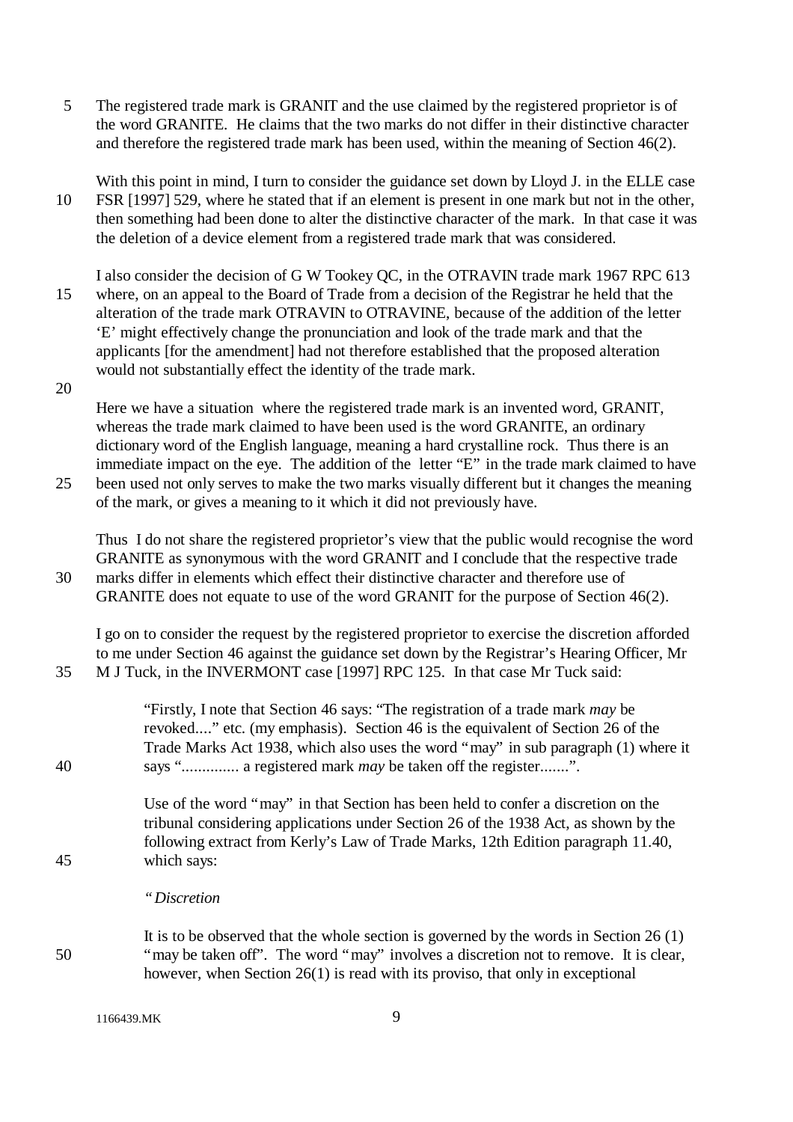5 The registered trade mark is GRANIT and the use claimed by the registered proprietor is of the word GRANITE. He claims that the two marks do not differ in their distinctive character and therefore the registered trade mark has been used, within the meaning of Section 46(2).

With this point in mind, I turn to consider the guidance set down by Lloyd J. in the ELLE case 10 FSR [1997] 529, where he stated that if an element is present in one mark but not in the other, then something had been done to alter the distinctive character of the mark. In that case it was the deletion of a device element from a registered trade mark that was considered.

I also consider the decision of G W Tookey QC, in the OTRAVIN trade mark 1967 RPC 613 15 where, on an appeal to the Board of Trade from a decision of the Registrar he held that the alteration of the trade mark OTRAVIN to OTRAVINE, because of the addition of the letter 'E' might effectively change the pronunciation and look of the trade mark and that the applicants [for the amendment] had not therefore established that the proposed alteration would not substantially effect the identity of the trade mark.

20

Here we have a situation where the registered trade mark is an invented word, GRANIT, whereas the trade mark claimed to have been used is the word GRANITE, an ordinary dictionary word of the English language, meaning a hard crystalline rock. Thus there is an immediate impact on the eye. The addition of the letter "E" in the trade mark claimed to have 25 been used not only serves to make the two marks visually different but it changes the meaning

of the mark, or gives a meaning to it which it did not previously have.

Thus I do not share the registered proprietor's view that the public would recognise the word GRANITE as synonymous with the word GRANIT and I conclude that the respective trade 30 marks differ in elements which effect their distinctive character and therefore use of GRANITE does not equate to use of the word GRANIT for the purpose of Section 46(2).

I go on to consider the request by the registered proprietor to exercise the discretion afforded to me under Section 46 against the guidance set down by the Registrar's Hearing Officer, Mr 35 M J Tuck, in the INVERMONT case [1997] RPC 125. In that case Mr Tuck said:

"Firstly, I note that Section 46 says: "The registration of a trade mark *may* be revoked...." etc. (my emphasis). Section 46 is the equivalent of Section 26 of the Trade Marks Act 1938, which also uses the word "may" in sub paragraph (1) where it 40 says ".............. a registered mark *may* be taken off the register.......".

Use of the word "may" in that Section has been held to confer a discretion on the tribunal considering applications under Section 26 of the 1938 Act, as shown by the following extract from Kerly's Law of Trade Marks, 12th Edition paragraph 11.40, 45 which says:

- *"Discretion*
- It is to be observed that the whole section is governed by the words in Section 26 (1) 50 "may be taken off". The word "may" involves a discretion not to remove. It is clear, however, when Section 26(1) is read with its proviso, that only in exceptional

1166439 MK 9